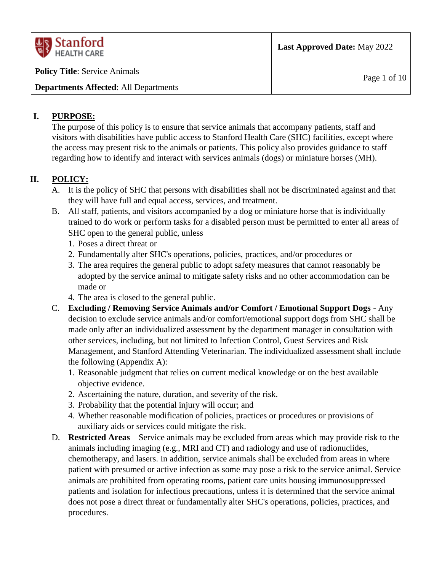| $\frac{1}{\sqrt{2}}\$ Stanford<br><b>HEALTH CARE</b> | <b>Last Approved Date: May 2022</b> |
|------------------------------------------------------|-------------------------------------|
| <b>Policy Title:</b> Service Animals                 | Page 1 of $10$                      |
| <b>Departments Affected: All Departments</b>         |                                     |

### **I. PURPOSE:**

The purpose of this policy is to ensure that service animals that accompany patients, staff and visitors with disabilities have public access to Stanford Health Care (SHC) facilities, except where the access may present risk to the animals or patients. This policy also provides guidance to staff regarding how to identify and interact with services animals (dogs) or miniature horses (MH).

## **II. POLICY:**

- A. It is the policy of SHC that persons with disabilities shall not be discriminated against and that they will have full and equal access, services, and treatment.
- B. All staff, patients, and visitors accompanied by a dog or miniature horse that is individually trained to do work or perform tasks for a disabled person must be permitted to enter all areas of SHC open to the general public, unless
	- 1. Poses a direct threat or
	- 2. Fundamentally alter SHC's operations, policies, practices, and/or procedures or
	- 3. The area requires the general public to adopt safety measures that cannot reasonably be adopted by the service animal to mitigate safety risks and no other accommodation can be made or
	- 4. The area is closed to the general public.
- C. **Excluding / Removing Service Animals and/or Comfort / Emotional Support Dogs** Any decision to exclude service animals and/or comfort/emotional support dogs from SHC shall be made only after an individualized assessment by the department manager in consultation with other services, including, but not limited to Infection Control, Guest Services and Risk Management, and Stanford Attending Veterinarian. The individualized assessment shall include the following (Appendix A):
	- 1. Reasonable judgment that relies on current medical knowledge or on the best available objective evidence.
	- 2. Ascertaining the nature, duration, and severity of the risk.
	- 3. Probability that the potential injury will occur; and
	- 4. Whether reasonable modification of policies, practices or procedures or provisions of auxiliary aids or services could mitigate the risk.
- D. **Restricted Areas** Service animals may be excluded from areas which may provide risk to the animals including imaging (e.g., MRI and CT) and radiology and use of radionuclides, chemotherapy, and lasers. In addition, service animals shall be excluded from areas in where patient with presumed or active infection as some may pose a risk to the service animal. Service animals are prohibited from operating rooms, patient care units housing immunosuppressed patients and isolation for infectious precautions, unless it is determined that the service animal does not pose a direct threat or fundamentally alter SHC's operations, policies, practices, and procedures.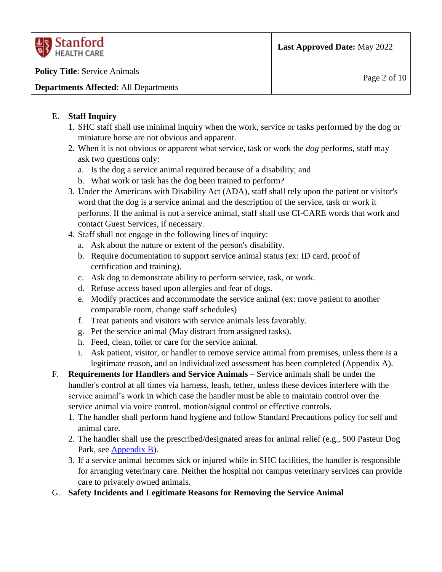| <b>HEALTH CARE</b>                           |              |
|----------------------------------------------|--------------|
| <b>Policy Title:</b> Service Animals         | Page 2 of 10 |
| <b>Departments Affected: All Departments</b> |              |

### E. **Staff Inquiry**

- 1. SHC staff shall use minimal inquiry when the work, service or tasks performed by the dog or miniature horse are not obvious and apparent.
- 2. When it is not obvious or apparent what service, task or work the *dog* performs, staff may ask two questions only:
	- a. Is the dog a service animal required because of a disability; and
	- b. What work or task has the dog been trained to perform?
- 3. Under the Americans with Disability Act (ADA), staff shall rely upon the patient or visitor's word that the dog is a service animal and the description of the service, task or work it performs. If the animal is not a service animal, staff shall use CI-CARE words that work and contact Guest Services, if necessary.
- 4. Staff shall not engage in the following lines of inquiry:
	- a. Ask about the nature or extent of the person's disability.
	- b. Require documentation to support service animal status (ex: ID card, proof of certification and training).
	- c. Ask dog to demonstrate ability to perform service, task, or work.
	- d. Refuse access based upon allergies and fear of dogs.
	- e. Modify practices and accommodate the service animal (ex: move patient to another comparable room, change staff schedules)
	- f. Treat patients and visitors with service animals less favorably.
	- g. Pet the service animal (May distract from assigned tasks).
	- h. Feed, clean, toilet or care for the service animal.
	- i. Ask patient, visitor, or handler to remove service animal from premises, unless there is a legitimate reason, and an individualized assessment has been completed (Appendix A).
- F. **Requirements for Handlers and Service Animals** Service animals shall be under the handler's control at all times via harness, leash, tether, unless these devices interfere with the service animal's work in which case the handler must be able to maintain control over the service animal via voice control, motion/signal control or effective controls.
	- 1. The handler shall perform hand hygiene and follow Standard Precautions policy for self and animal care.
	- 2. The handler shall use the prescribed/designated areas for animal relief (e.g., 500 Pasteur Dog Park, see [Appendix B\)](#page-9-0).
	- 3. If a service animal becomes sick or injured while in SHC facilities, the handler is responsible for arranging veterinary care. Neither the hospital nor campus veterinary services can provide care to privately owned animals.
- G. **Safety Incidents and Legitimate Reasons for Removing the Service Animal**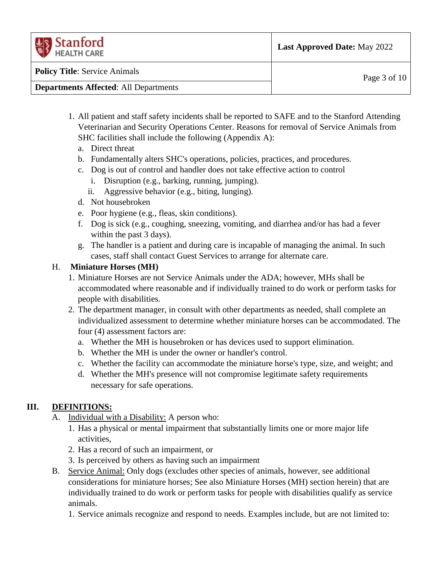| $\left\langle \frac{1}{2} \right\rangle$ Stanford<br><b>HEALTH CARE</b> | <b>Last Approved Date: May 2022</b> |
|-------------------------------------------------------------------------|-------------------------------------|
| <b>Policy Title: Service Animals</b>                                    | Page $3$ of $10$                    |
| <b>Departments Affected: All Departments</b>                            |                                     |

- 1. All patient and staff safety incidents shall be reported to SAFE and to the Stanford Attending Veterinarian and Security Operations Center. Reasons for removal of Service Animals from SHC facilities shall include the following (Appendix A):
	- a. Direct threat
	- b. Fundamentally alters SHC's operations, policies, practices, and procedures.
	- c. Dog is out of control and handler does not take effective action to control
		- i. Disruption (e.g., barking, running, jumping).
		- ii. Aggressive behavior (e.g., biting, lunging).
	- d. Not housebroken
	- e. Poor hygiene (e.g., fleas, skin conditions).
	- f. Dog is sick (e.g., coughing, sneezing, vomiting, and diarrhea and/or has had a fever within the past 3 days).
	- g. The handler is a patient and during care is incapable of managing the animal. In such cases, staff shall contact Guest Services to arrange for alternate care.

# H. **Miniature Horses (MH)**

- 1. Miniature Horses are not Service Animals under the ADA; however, MHs shall be accommodated where reasonable and if individually trained to do work or perform tasks for people with disabilities.
- 2. The department manager, in consult with other departments as needed, shall complete an individualized assessment to determine whether miniature horses can be accommodated. The four (4) assessment factors are:
	- a. Whether the MH is housebroken or has devices used to support elimination.
	- b. Whether the MH is under the owner or handler's control.
	- c. Whether the facility can accommodate the miniature horse's type, size, and weight; and
	- d. Whether the MH's presence will not compromise legitimate safety requirements necessary for safe operations.

# **III. DEFINITIONS:**

- A. Individual with a Disability: A person who:
	- 1. Has a physical or mental impairment that substantially limits one or more major life activities,
	- 2. Has a record of such an impairment, or
	- 3. Is perceived by others as having such an impairment
- B. Service Animal: Only dogs (excludes other species of animals, however, see additional considerations for miniature horses; See also Miniature Horses (MH) section herein) that are individually trained to do work or perform tasks for people with disabilities qualify as service animals.
	- 1. Service animals recognize and respond to needs. Examples include, but are not limited to: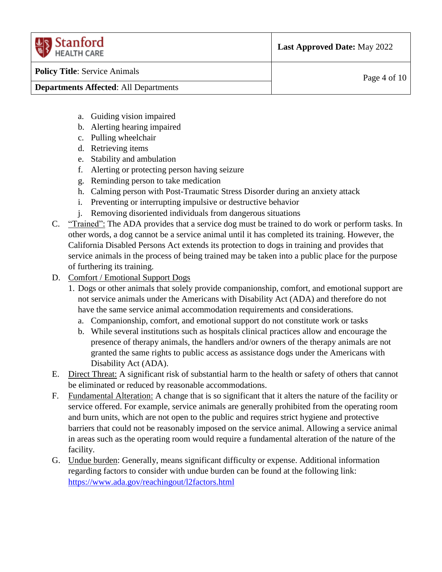| <b>UR</b> Stanford<br><b>HEALTH CARE</b>     | <b>Last Approved Date: May 2022</b> |
|----------------------------------------------|-------------------------------------|
| <b>Policy Title:</b> Service Animals         | Page 4 of $10$                      |
| <b>Departments Affected: All Departments</b> |                                     |

- a. Guiding vision impaired
- b. Alerting hearing impaired
- c. Pulling wheelchair
- d. Retrieving items
- e. Stability and ambulation
- f. Alerting or protecting person having seizure
- g. Reminding person to take medication
- h. Calming person with Post-Traumatic Stress Disorder during an anxiety attack
- i. Preventing or interrupting impulsive or destructive behavior
- j. Removing disoriented individuals from dangerous situations
- C. "Trained": The ADA provides that a service dog must be trained to do work or perform tasks. In other words, a dog cannot be a service animal until it has completed its training. However, the California Disabled Persons Act extends its protection to dogs in training and provides that service animals in the process of being trained may be taken into a public place for the purpose of furthering its training.
- D. Comfort / Emotional Support Dogs
	- 1. Dogs or other animals that solely provide companionship, comfort, and emotional support are not service animals under the Americans with Disability Act (ADA) and therefore do not have the same service animal accommodation requirements and considerations*.*
		- a. Companionship, comfort, and emotional support do not constitute work or tasks
		- b. While several institutions such as hospitals clinical practices allow and encourage the presence of therapy animals, the handlers and/or owners of the therapy animals are not granted the same rights to public access as assistance dogs under the Americans with Disability Act (ADA).
- E. Direct Threat: A significant risk of substantial harm to the health or safety of others that cannot be eliminated or reduced by reasonable accommodations.
- F. Fundamental Alteration: A change that is so significant that it alters the nature of the facility or service offered. For example, service animals are generally prohibited from the operating room and burn units, which are not open to the public and requires strict hygiene and protective barriers that could not be reasonably imposed on the service animal. Allowing a service animal in areas such as the operating room would require a fundamental alteration of the nature of the facility.
- G. Undue burden: Generally, means significant difficulty or expense. Additional information regarding factors to consider with undue burden can be found at the following link: <https://www.ada.gov/reachingout/l2factors.html>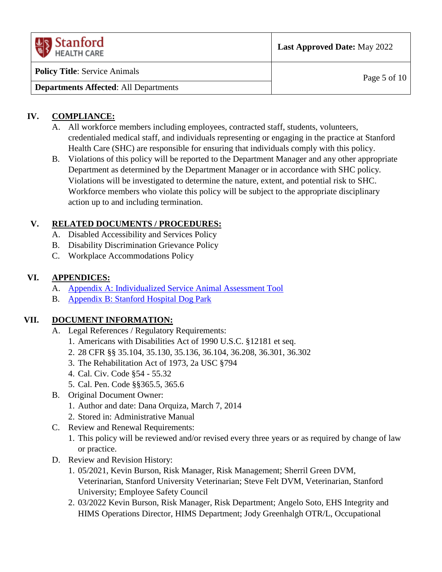| <b>US</b> Stanford<br><b>HEALTH CARE</b>     | <b>Last Approved Date: May 2022</b> |
|----------------------------------------------|-------------------------------------|
| <b>Policy Title:</b> Service Animals         | Page 5 of $10$                      |
| <b>Departments Affected: All Departments</b> |                                     |

## **IV. COMPLIANCE:**

- A. All workforce members including employees, contracted staff, students, volunteers, credentialed medical staff, and individuals representing or engaging in the practice at Stanford Health Care (SHC) are responsible for ensuring that individuals comply with this policy.
- B. Violations of this policy will be reported to the Department Manager and any other appropriate Department as determined by the Department Manager or in accordance with SHC policy. Violations will be investigated to determine the nature, extent, and potential risk to SHC. Workforce members who violate this policy will be subject to the appropriate disciplinary action up to and including termination.

# **V. RELATED DOCUMENTS / PROCEDURES:**

- A. Disabled Accessibility and Services Policy
- B. Disability Discrimination Grievance Policy
- C. Workplace Accommodations Policy

## **VI. APPENDICES:**

- A. [Appendix A: Individualized Service Animal Assessment Tool](#page-6-0)
- B. [Appendix B: Stanford Hospital Dog Park](#page-9-0)

# **VII. DOCUMENT INFORMATION:**

- A. Legal References / Regulatory Requirements:
	- 1. Americans with Disabilities Act of 1990 U.S.C. §12181 et seq.
	- 2. 28 CFR §§ 35.104, 35.130, 35.136, 36.104, 36.208, 36.301, 36.302
	- 3. The Rehabilitation Act of 1973, 2a USC §794
	- 4. Cal. Civ. Code §54 55.32
	- 5. Cal. Pen. Code §§365.5, 365.6
- B. Original Document Owner:
	- 1. Author and date: Dana Orquiza, March 7, 2014
	- 2. Stored in: Administrative Manual
- C. Review and Renewal Requirements:
	- 1. This policy will be reviewed and/or revised every three years or as required by change of law or practice.
- D. Review and Revision History:
	- 1. 05/2021, Kevin Burson, Risk Manager, Risk Management; Sherril Green DVM, Veterinarian, Stanford University Veterinarian; Steve Felt DVM, Veterinarian, Stanford University; Employee Safety Council
	- 2. 03/2022 Kevin Burson, Risk Manager, Risk Department; Angelo Soto, EHS Integrity and HIMS Operations Director, HIMS Department; Jody Greenhalgh OTR/L, Occupational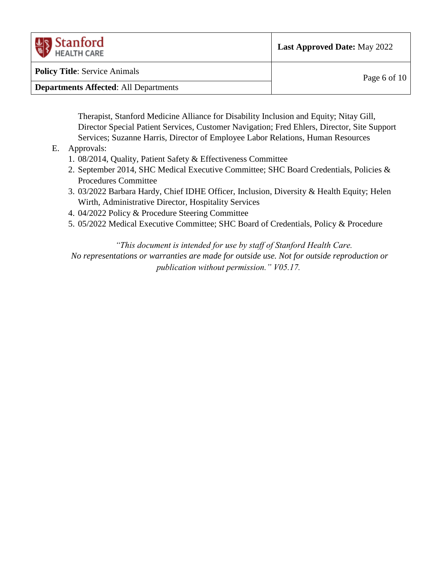| $\left\langle \frac{1}{2} \right\rangle$ Stanford<br><b>HEALTH CARE</b> | <b>Last Approved Date: May 2022</b> |
|-------------------------------------------------------------------------|-------------------------------------|
| <b>Policy Title: Service Animals</b>                                    | Page 6 of 10                        |
| <b>Departments Affected: All Departments</b>                            |                                     |

Therapist, Stanford Medicine Alliance for Disability Inclusion and Equity; Nitay Gill, Director Special Patient Services, Customer Navigation; Fred Ehlers, Director, Site Support Services; Suzanne Harris, Director of Employee Labor Relations, Human Resources

#### E. Approvals:

- 1. 08/2014, Quality, Patient Safety & Effectiveness Committee
- 2. September 2014, SHC Medical Executive Committee; SHC Board Credentials, Policies & Procedures Committee
- 3. 03/2022 Barbara Hardy, Chief IDHE Officer, Inclusion, Diversity & Health Equity; Helen Wirth, Administrative Director, Hospitality Services
- 4. 04/2022 Policy & Procedure Steering Committee
- 5. 05/2022 Medical Executive Committee; SHC Board of Credentials, Policy & Procedure

*"This document is intended for use by staff of Stanford Health Care. No representations or warranties are made for outside use. Not for outside reproduction or publication without permission." V05.17.*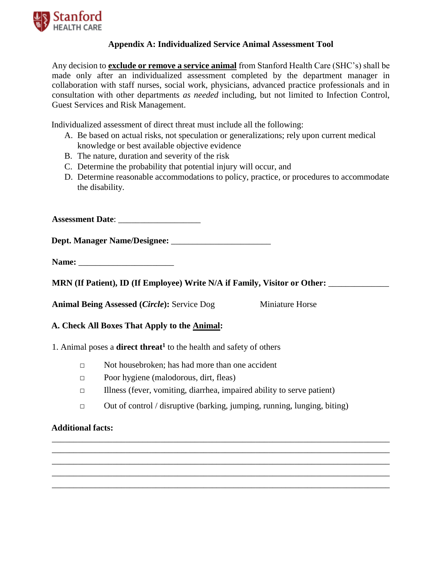

#### **Appendix A: Individualized Service Animal Assessment Tool**

<span id="page-6-0"></span>Any decision to **exclude or remove a service animal** from Stanford Health Care (SHC's) shall be made only after an individualized assessment completed by the department manager in collaboration with staff nurses, social work, physicians, advanced practice professionals and in consultation with other departments *as needed* including, but not limited to Infection Control, Guest Services and Risk Management.

Individualized assessment of direct threat must include all the following:

- A. Be based on actual risks, not speculation or generalizations; rely upon current medical knowledge or best available objective evidence
- B. The nature, duration and severity of the risk
- C. Determine the probability that potential injury will occur, and
- D. Determine reasonable accommodations to policy, practice, or procedures to accommodate the disability.

**Assessment Date**: \_\_\_\_\_\_\_\_\_\_\_\_\_\_\_\_\_\_\_

**Dept. Manager Name/Designee:** \_\_\_\_\_\_\_\_\_\_\_\_\_\_\_\_\_\_\_\_\_\_\_

Name:

**MRN** (If Patient), ID (If Employee) Write N/A if Family, Visitor or Other:

**Animal Being Assessed (***Circle***):** Service Dog Miniature Horse

**A. Check All Boxes That Apply to the Animal:** 

1. Animal poses a **direct threat<sup>1</sup>** to the health and safety of others

- □ Not housebroken; has had more than one accident
- □ Poor hygiene (malodorous, dirt, fleas)
- □ Illness (fever, vomiting, diarrhea, impaired ability to serve patient)
- $\Box$  Out of control / disruptive (barking, jumping, running, lunging, biting)

\_\_\_\_\_\_\_\_\_\_\_\_\_\_\_\_\_\_\_\_\_\_\_\_\_\_\_\_\_\_\_\_\_\_\_\_\_\_\_\_\_\_\_\_\_\_\_\_\_\_\_\_\_\_\_\_\_\_\_\_\_\_\_\_\_\_\_\_\_\_\_\_\_\_\_\_\_\_ \_\_\_\_\_\_\_\_\_\_\_\_\_\_\_\_\_\_\_\_\_\_\_\_\_\_\_\_\_\_\_\_\_\_\_\_\_\_\_\_\_\_\_\_\_\_\_\_\_\_\_\_\_\_\_\_\_\_\_\_\_\_\_\_\_\_\_\_\_\_\_\_\_\_\_\_\_\_ \_\_\_\_\_\_\_\_\_\_\_\_\_\_\_\_\_\_\_\_\_\_\_\_\_\_\_\_\_\_\_\_\_\_\_\_\_\_\_\_\_\_\_\_\_\_\_\_\_\_\_\_\_\_\_\_\_\_\_\_\_\_\_\_\_\_\_\_\_\_\_\_\_\_\_\_\_\_ \_\_\_\_\_\_\_\_\_\_\_\_\_\_\_\_\_\_\_\_\_\_\_\_\_\_\_\_\_\_\_\_\_\_\_\_\_\_\_\_\_\_\_\_\_\_\_\_\_\_\_\_\_\_\_\_\_\_\_\_\_\_\_\_\_\_\_\_\_\_\_\_\_\_\_\_\_\_ \_\_\_\_\_\_\_\_\_\_\_\_\_\_\_\_\_\_\_\_\_\_\_\_\_\_\_\_\_\_\_\_\_\_\_\_\_\_\_\_\_\_\_\_\_\_\_\_\_\_\_\_\_\_\_\_\_\_\_\_\_\_\_\_\_\_\_\_\_\_\_\_\_\_\_\_\_\_

#### **Additional facts:**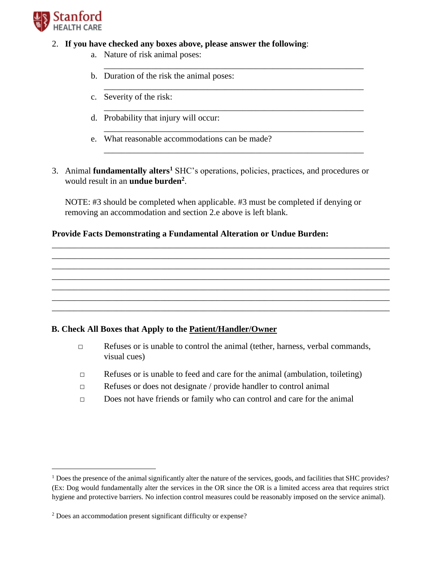

 $\overline{a}$ 

#### 2. **If you have checked any boxes above, please answer the following**:

- a. Nature of risk animal poses:
- b. Duration of the risk the animal poses:
- c. Severity of the risk:
- d. Probability that injury will occur:
- e. What reasonable accommodations can be made?
- 3. Animal **fundamentally alters<sup>1</sup>** SHC's operations, policies, practices, and procedures or would result in an **undue burden<sup>2</sup>** .

\_\_\_\_\_\_\_\_\_\_\_\_\_\_\_\_\_\_\_\_\_\_\_\_\_\_\_\_\_\_\_\_\_\_\_\_\_\_\_\_\_\_\_\_\_\_\_\_\_\_\_\_\_\_\_\_\_\_\_\_

\_\_\_\_\_\_\_\_\_\_\_\_\_\_\_\_\_\_\_\_\_\_\_\_\_\_\_\_\_\_\_\_\_\_\_\_\_\_\_\_\_\_\_\_\_\_\_\_\_\_\_\_\_\_\_\_\_\_\_\_

\_\_\_\_\_\_\_\_\_\_\_\_\_\_\_\_\_\_\_\_\_\_\_\_\_\_\_\_\_\_\_\_\_\_\_\_\_\_\_\_\_\_\_\_\_\_\_\_\_\_\_\_\_\_\_\_\_\_\_\_

\_\_\_\_\_\_\_\_\_\_\_\_\_\_\_\_\_\_\_\_\_\_\_\_\_\_\_\_\_\_\_\_\_\_\_\_\_\_\_\_\_\_\_\_\_\_\_\_\_\_\_\_\_\_\_\_\_\_\_\_

\_\_\_\_\_\_\_\_\_\_\_\_\_\_\_\_\_\_\_\_\_\_\_\_\_\_\_\_\_\_\_\_\_\_\_\_\_\_\_\_\_\_\_\_\_\_\_\_\_\_\_\_\_\_\_\_\_\_\_\_

NOTE: #3 should be completed when applicable. #3 must be completed if denying or removing an accommodation and section 2.e above is left blank.

\_\_\_\_\_\_\_\_\_\_\_\_\_\_\_\_\_\_\_\_\_\_\_\_\_\_\_\_\_\_\_\_\_\_\_\_\_\_\_\_\_\_\_\_\_\_\_\_\_\_\_\_\_\_\_\_\_\_\_\_\_\_\_\_\_\_\_\_\_\_\_\_\_\_\_\_\_\_ \_\_\_\_\_\_\_\_\_\_\_\_\_\_\_\_\_\_\_\_\_\_\_\_\_\_\_\_\_\_\_\_\_\_\_\_\_\_\_\_\_\_\_\_\_\_\_\_\_\_\_\_\_\_\_\_\_\_\_\_\_\_\_\_\_\_\_\_\_\_\_\_\_\_\_\_\_\_ \_\_\_\_\_\_\_\_\_\_\_\_\_\_\_\_\_\_\_\_\_\_\_\_\_\_\_\_\_\_\_\_\_\_\_\_\_\_\_\_\_\_\_\_\_\_\_\_\_\_\_\_\_\_\_\_\_\_\_\_\_\_\_\_\_\_\_\_\_\_\_\_\_\_\_\_\_\_ \_\_\_\_\_\_\_\_\_\_\_\_\_\_\_\_\_\_\_\_\_\_\_\_\_\_\_\_\_\_\_\_\_\_\_\_\_\_\_\_\_\_\_\_\_\_\_\_\_\_\_\_\_\_\_\_\_\_\_\_\_\_\_\_\_\_\_\_\_\_\_\_\_\_\_\_\_\_ \_\_\_\_\_\_\_\_\_\_\_\_\_\_\_\_\_\_\_\_\_\_\_\_\_\_\_\_\_\_\_\_\_\_\_\_\_\_\_\_\_\_\_\_\_\_\_\_\_\_\_\_\_\_\_\_\_\_\_\_\_\_\_\_\_\_\_\_\_\_\_\_\_\_\_\_\_\_ \_\_\_\_\_\_\_\_\_\_\_\_\_\_\_\_\_\_\_\_\_\_\_\_\_\_\_\_\_\_\_\_\_\_\_\_\_\_\_\_\_\_\_\_\_\_\_\_\_\_\_\_\_\_\_\_\_\_\_\_\_\_\_\_\_\_\_\_\_\_\_\_\_\_\_\_\_\_ \_\_\_\_\_\_\_\_\_\_\_\_\_\_\_\_\_\_\_\_\_\_\_\_\_\_\_\_\_\_\_\_\_\_\_\_\_\_\_\_\_\_\_\_\_\_\_\_\_\_\_\_\_\_\_\_\_\_\_\_\_\_\_\_\_\_\_\_\_\_\_\_\_\_\_\_\_\_

#### **Provide Facts Demonstrating a Fundamental Alteration or Undue Burden:**

#### **B. Check All Boxes that Apply to the Patient/Handler/Owner**

- □ Refuses or is unable to control the animal (tether, harness, verbal commands, visual cues)
- □ Refuses or is unable to feed and care for the animal (ambulation, toileting)
- $\Box$  Refuses or does not designate / provide handler to control animal
- □ Does not have friends or family who can control and care for the animal

 $<sup>1</sup>$  Does the presence of the animal significantly alter the nature of the services, goods, and facilities that SHC provides?</sup> (Ex: Dog would fundamentally alter the services in the OR since the OR is a limited access area that requires strict hygiene and protective barriers. No infection control measures could be reasonably imposed on the service animal).

<sup>2</sup> Does an accommodation present significant difficulty or expense?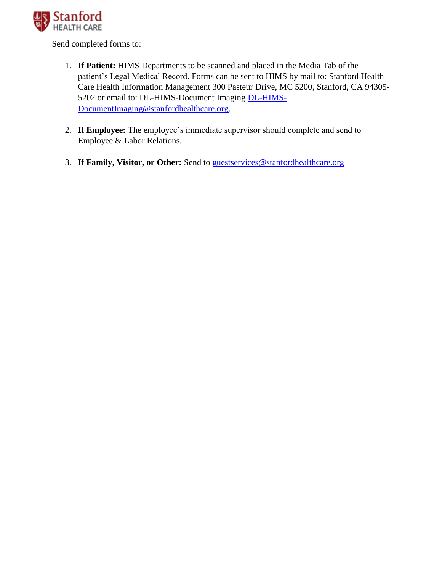

Send completed forms to:

- 1. **If Patient:** HIMS Departments to be scanned and placed in the Media Tab of the patient's Legal Medical Record. Forms can be sent to HIMS by mail to: Stanford Health Care Health Information Management 300 Pasteur Drive, MC 5200, Stanford, CA 94305- 5202 or email to: DL-HIMS-Document Imaging [DL-HIMS-](mailto:DL-HIMS-DocumentImaging@stanfordhealthcare.org)[DocumentImaging@stanfordhealthcare.org.](mailto:DL-HIMS-DocumentImaging@stanfordhealthcare.org)
- 2. **If Employee:** The employee's immediate supervisor should complete and send to Employee & Labor Relations.
- 3. **If Family, Visitor, or Other:** Send to [guestservices@stanfordhealthcare.org](mailto:guestservices@stanfordhealthcare.org)